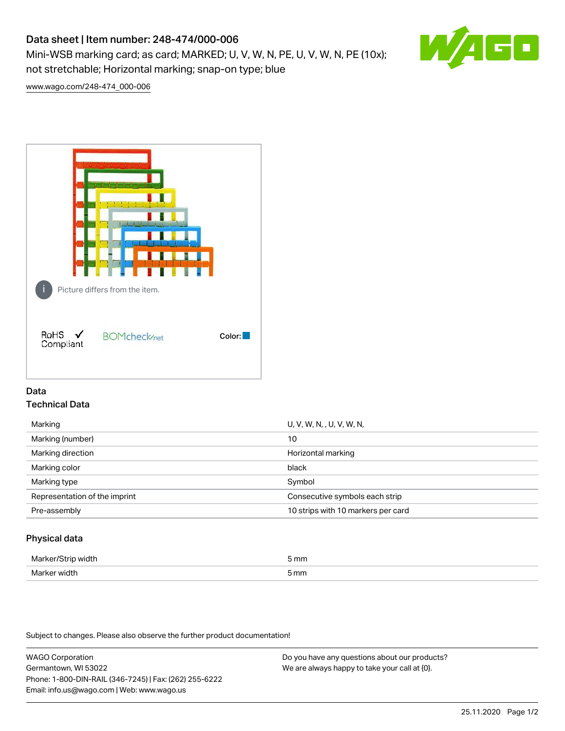# Data sheet | Item number: 248-474/000-006

Mini-WSB marking card; as card; MARKED; U, V, W, N, PE, U, V, W, N, PE (10x); not stretchable; Horizontal marking; snap-on type; blue



[www.wago.com/248-474\\_000-006](http://www.wago.com/248-474_000-006)



## Data Technical Data

| U, V, W, N, , U, V, W, N,          |
|------------------------------------|
| 10                                 |
| Horizontal marking                 |
| black                              |
| Symbol                             |
| Consecutive symbols each strip     |
| 10 strips with 10 markers per card |
|                                    |

## Physical data

| Mar                      | 5 mm |
|--------------------------|------|
| M <sub>cr</sub><br>width | 5 mm |

Subject to changes. Please also observe the further product documentation!

WAGO Corporation Germantown, WI 53022 Phone: 1-800-DIN-RAIL (346-7245) | Fax: (262) 255-6222 Email: info.us@wago.com | Web: www.wago.us Do you have any questions about our products? We are always happy to take your call at {0}.